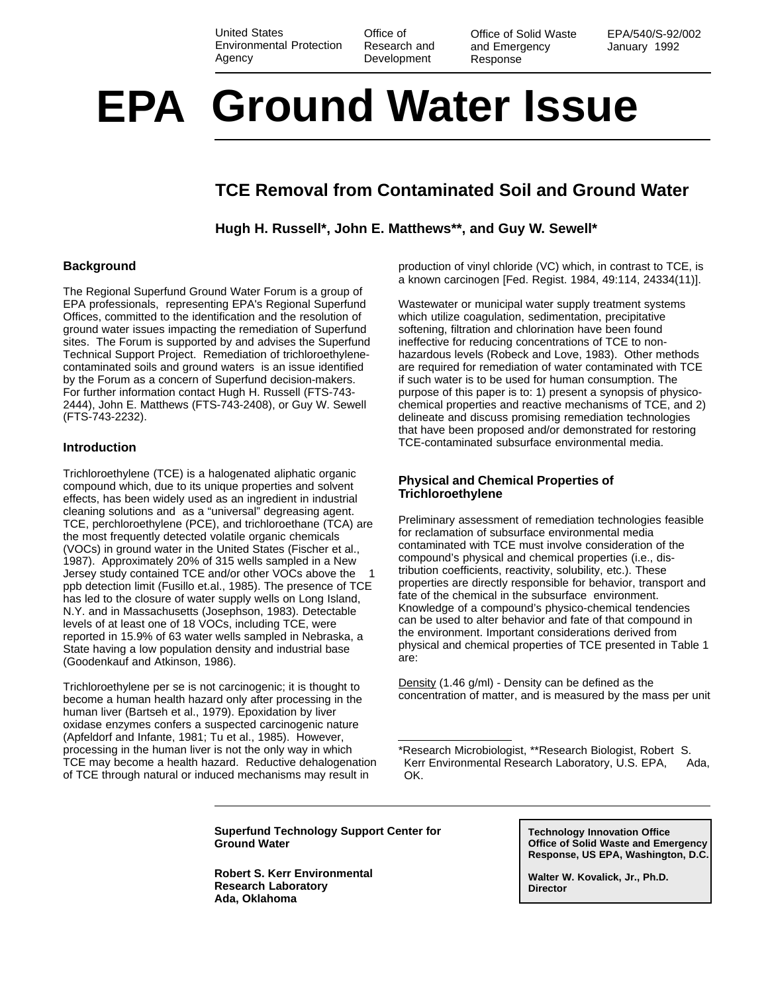United States Environmental Protection Agency

Office of Research and Development

Office of Solid Waste and Emergency Response

EPA/540/S-92/002 January 1992

# **Ground Water Issue EPA**

## **TCE Removal from Contaminated Soil and Ground Water**

**Hugh H. Russell\*, John E. Matthews\*\*, and Guy W. Sewell\***

## **Background**

The Regional Superfund Ground Water Forum is a group of EPA professionals, representing EPA's Regional Superfund Offices, committed to the identification and the resolution of ground water issues impacting the remediation of Superfund sites. The Forum is supported by and advises the Superfund Technical Support Project. Remediation of trichloroethylenecontaminated soils and ground waters is an issue identified by the Forum as a concern of Superfund decision-makers. For further information contact Hugh H. Russell (FTS-743- 2444), John E. Matthews (FTS-743-2408), or Guy W. Sewell (FTS-743-2232).

## **Introduction**

Trichloroethylene (TCE) is a halogenated aliphatic organic compound which, due to its unique properties and solvent effects, has been widely used as an ingredient in industrial cleaning solutions and as a "universal" degreasing agent. TCE, perchloroethylene (PCE), and trichloroethane (TCA) are the most frequently detected volatile organic chemicals (VOCs) in ground water in the United States (Fischer et al., 1987). Approximately 20% of 315 wells sampled in a New Jersey study contained TCE and/or other VOCs above the 1 ppb detection limit (Fusillo et.al., 1985). The presence of TCE has led to the closure of water supply wells on Long Island, N.Y. and in Massachusetts (Josephson, 1983). Detectable levels of at least one of 18 VOCs, including TCE, were reported in 15.9% of 63 water wells sampled in Nebraska, a State having a low population density and industrial base (Goodenkauf and Atkinson, 1986).

Trichloroethylene per se is not carcinogenic; it is thought to become a human health hazard only after processing in the human liver (Bartseh et al., 1979). Epoxidation by liver oxidase enzymes confers a suspected carcinogenic nature (Apfeldorf and Infante, 1981; Tu et al., 1985). However, processing in the human liver is not the only way in which TCE may become a health hazard. Reductive dehalogenation of TCE through natural or induced mechanisms may result in

production of vinyl chloride (VC) which, in contrast to TCE, is a known carcinogen [Fed. Regist. 1984, 49:114, 24334(11)].

Wastewater or municipal water supply treatment systems which utilize coagulation, sedimentation, precipitative softening, filtration and chlorination have been found ineffective for reducing concentrations of TCE to nonhazardous levels (Robeck and Love, 1983). Other methods are required for remediation of water contaminated with TCE if such water is to be used for human consumption. The purpose of this paper is to: 1) present a synopsis of physicochemical properties and reactive mechanisms of TCE, and 2) delineate and discuss promising remediation technologies that have been proposed and/or demonstrated for restoring TCE-contaminated subsurface environmental media.

#### **Physical and Chemical Properties of Trichloroethylene**

Preliminary assessment of remediation technologies feasible for reclamation of subsurface environmental media contaminated with TCE must involve consideration of the compound's physical and chemical properties (i.e., distribution coefficients, reactivity, solubility, etc.). These properties are directly responsible for behavior, transport and fate of the chemical in the subsurface environment. Knowledge of a compound's physico-chemical tendencies can be used to alter behavior and fate of that compound in the environment. Important considerations derived from physical and chemical properties of TCE presented in Table 1 are:

Density (1.46 g/ml) - Density can be defined as the concentration of matter, and is measured by the mass per unit

**Superfund Technology Support Center for Ground Water**

**Robert S. Kerr Environmental Research Laboratory Ada, Oklahoma**

**Technology Innovation Office Office of Solid Waste and Emergency Response, US EPA, Washington, D.C.**

**Walter W. Kovalick, Jr., Ph.D. Director**

<sup>\*</sup>Research Microbiologist, \*\*Research Biologist, Robert S. Kerr Environmental Research Laboratory, U.S. EPA, Ada, OK.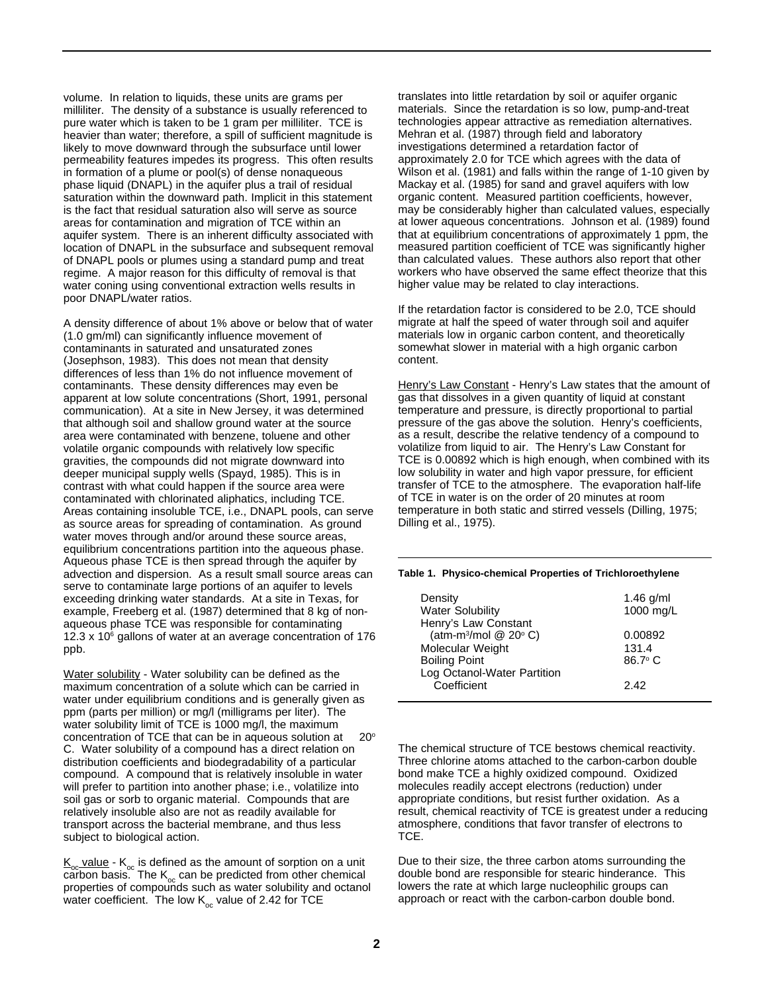volume. In relation to liquids, these units are grams per milliliter. The density of a substance is usually referenced to pure water which is taken to be 1 gram per milliliter. TCE is heavier than water; therefore, a spill of sufficient magnitude is likely to move downward through the subsurface until lower permeability features impedes its progress. This often results in formation of a plume or pool(s) of dense nonaqueous phase liquid (DNAPL) in the aquifer plus a trail of residual saturation within the downward path. Implicit in this statement is the fact that residual saturation also will serve as source areas for contamination and migration of TCE within an aquifer system. There is an inherent difficulty associated with location of DNAPL in the subsurface and subsequent removal of DNAPL pools or plumes using a standard pump and treat regime. A major reason for this difficulty of removal is that water coning using conventional extraction wells results in poor DNAPL/water ratios.

A density difference of about 1% above or below that of water (1.0 gm/ml) can significantly influence movement of contaminants in saturated and unsaturated zones (Josephson, 1983). This does not mean that density differences of less than 1% do not influence movement of contaminants. These density differences may even be apparent at low solute concentrations (Short, 1991, personal communication). At a site in New Jersey, it was determined that although soil and shallow ground water at the source area were contaminated with benzene, toluene and other volatile organic compounds with relatively low specific gravities, the compounds did not migrate downward into deeper municipal supply wells (Spayd, 1985). This is in contrast with what could happen if the source area were contaminated with chlorinated aliphatics, including TCE. Areas containing insoluble TCE, i.e., DNAPL pools, can serve as source areas for spreading of contamination. As ground water moves through and/or around these source areas, equilibrium concentrations partition into the aqueous phase. Aqueous phase TCE is then spread through the aquifer by advection and dispersion. As a result small source areas can serve to contaminate large portions of an aquifer to levels exceeding drinking water standards. At a site in Texas, for example, Freeberg et al. (1987) determined that 8 kg of nonaqueous phase TCE was responsible for contaminating 12.3 x 106 gallons of water at an average concentration of 176 ppb.

Water solubility - Water solubility can be defined as the maximum concentration of a solute which can be carried in water under equilibrium conditions and is generally given as ppm (parts per million) or mg/l (milligrams per liter). The water solubility limit of TCE is 1000 mg/l, the maximum concentration of TCE that can be in aqueous solution at  $20^\circ$ C. Water solubility of a compound has a direct relation on distribution coefficients and biodegradability of a particular compound. A compound that is relatively insoluble in water will prefer to partition into another phase; i.e., volatilize into soil gas or sorb to organic material. Compounds that are relatively insoluble also are not as readily available for transport across the bacterial membrane, and thus less subject to biological action.

 $K_{\text{oc}}$  value -  $K_{\text{oc}}$  is defined as the amount of sorption on a unit carbon basis. The  $\mathsf{K}_{_{\mathrm{OC}}}$  can be predicted from other chemical properties of compounds such as water solubility and octanol water coefficient. The low  $\mathsf{K}_{_{\mathrm{oc}}}$  value of 2.42 for TCE

translates into little retardation by soil or aquifer organic materials. Since the retardation is so low, pump-and-treat technologies appear attractive as remediation alternatives. Mehran et al. (1987) through field and laboratory investigations determined a retardation factor of approximately 2.0 for TCE which agrees with the data of Wilson et al. (1981) and falls within the range of 1-10 given by Mackay et al. (1985) for sand and gravel aquifers with low organic content. Measured partition coefficients, however, may be considerably higher than calculated values, especially at lower aqueous concentrations. Johnson et al. (1989) found that at equilibrium concentrations of approximately 1 ppm, the measured partition coefficient of TCE was significantly higher than calculated values. These authors also report that other workers who have observed the same effect theorize that this higher value may be related to clay interactions.

If the retardation factor is considered to be 2.0, TCE should migrate at half the speed of water through soil and aquifer materials low in organic carbon content, and theoretically somewhat slower in material with a high organic carbon content.

Henry's Law Constant - Henry's Law states that the amount of gas that dissolves in a given quantity of liquid at constant temperature and pressure, is directly proportional to partial pressure of the gas above the solution. Henry's coefficients, as a result, describe the relative tendency of a compound to volatilize from liquid to air. The Henry's Law Constant for TCE is 0.00892 which is high enough, when combined with its low solubility in water and high vapor pressure, for efficient transfer of TCE to the atmosphere. The evaporation half-life of TCE in water is on the order of 20 minutes at room temperature in both static and stirred vessels (Dilling, 1975; Dilling et al., 1975).

#### **Table 1. Physico-chemical Properties of Trichloroethylene**

| 1.46 $g/ml$<br>1000 mg/L |
|--------------------------|
| 0.00892<br>131.4         |
| $86.7^\circ$ C<br>242    |
|                          |

The chemical structure of TCE bestows chemical reactivity. Three chlorine atoms attached to the carbon-carbon double bond make TCE a highly oxidized compound. Oxidized molecules readily accept electrons (reduction) under appropriate conditions, but resist further oxidation. As a result, chemical reactivity of TCE is greatest under a reducing atmosphere, conditions that favor transfer of electrons to TCE.

Due to their size, the three carbon atoms surrounding the double bond are responsible for stearic hinderance. This lowers the rate at which large nucleophilic groups can approach or react with the carbon-carbon double bond.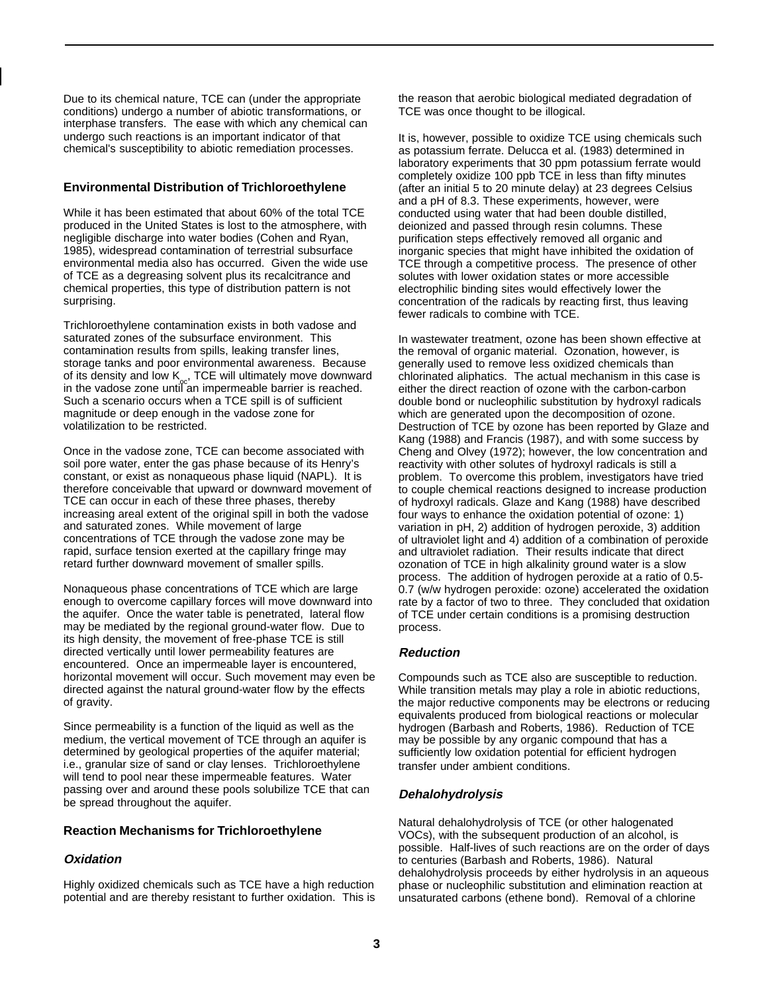Due to its chemical nature, TCE can (under the appropriate conditions) undergo a number of abiotic transformations, or interphase transfers. The ease with which any chemical can undergo such reactions is an important indicator of that chemical's susceptibility to abiotic remediation processes.

#### **Environmental Distribution of Trichloroethylene**

While it has been estimated that about 60% of the total TCE produced in the United States is lost to the atmosphere, with negligible discharge into water bodies (Cohen and Ryan, 1985), widespread contamination of terrestrial subsurface environmental media also has occurred. Given the wide use of TCE as a degreasing solvent plus its recalcitrance and chemical properties, this type of distribution pattern is not surprising.

Trichloroethylene contamination exists in both vadose and saturated zones of the subsurface environment. This contamination results from spills, leaking transfer lines, storage tanks and poor environmental awareness. Because of its density and low K<sub>oc</sub>, TCE will ultimately move downward<br>in the vadose zone until an impermeable barrier is reached. Such a scenario occurs when a TCE spill is of sufficient magnitude or deep enough in the vadose zone for volatilization to be restricted.

Once in the vadose zone, TCE can become associated with soil pore water, enter the gas phase because of its Henry's constant, or exist as nonaqueous phase liquid (NAPL). It is therefore conceivable that upward or downward movement of TCE can occur in each of these three phases, thereby increasing areal extent of the original spill in both the vadose and saturated zones. While movement of large concentrations of TCE through the vadose zone may be rapid, surface tension exerted at the capillary fringe may retard further downward movement of smaller spills.

Nonaqueous phase concentrations of TCE which are large enough to overcome capillary forces will move downward into the aquifer. Once the water table is penetrated, lateral flow may be mediated by the regional ground-water flow. Due to its high density, the movement of free-phase TCE is still directed vertically until lower permeability features are encountered. Once an impermeable layer is encountered, horizontal movement will occur. Such movement may even be directed against the natural ground-water flow by the effects of gravity.

Since permeability is a function of the liquid as well as the medium, the vertical movement of TCE through an aquifer is determined by geological properties of the aquifer material; i.e., granular size of sand or clay lenses. Trichloroethylene will tend to pool near these impermeable features. Water passing over and around these pools solubilize TCE that can be spread throughout the aquifer.

#### **Reaction Mechanisms for Trichloroethylene**

#### **Oxidation**

Highly oxidized chemicals such as TCE have a high reduction potential and are thereby resistant to further oxidation. This is the reason that aerobic biological mediated degradation of TCE was once thought to be illogical.

It is, however, possible to oxidize TCE using chemicals such as potassium ferrate. Delucca et al. (1983) determined in laboratory experiments that 30 ppm potassium ferrate would completely oxidize 100 ppb TCE in less than fifty minutes (after an initial 5 to 20 minute delay) at 23 degrees Celsius and a pH of 8.3. These experiments, however, were conducted using water that had been double distilled, deionized and passed through resin columns. These purification steps effectively removed all organic and inorganic species that might have inhibited the oxidation of TCE through a competitive process. The presence of other solutes with lower oxidation states or more accessible electrophilic binding sites would effectively lower the concentration of the radicals by reacting first, thus leaving fewer radicals to combine with TCE.

In wastewater treatment, ozone has been shown effective at the removal of organic material. Ozonation, however, is generally used to remove less oxidized chemicals than chlorinated aliphatics. The actual mechanism in this case is either the direct reaction of ozone with the carbon-carbon double bond or nucleophilic substitution by hydroxyl radicals which are generated upon the decomposition of ozone. Destruction of TCE by ozone has been reported by Glaze and Kang (1988) and Francis (1987), and with some success by Cheng and Olvey (1972); however, the low concentration and reactivity with other solutes of hydroxyl radicals is still a problem. To overcome this problem, investigators have tried to couple chemical reactions designed to increase production of hydroxyl radicals. Glaze and Kang (1988) have described four ways to enhance the oxidation potential of ozone: 1) variation in pH, 2) addition of hydrogen peroxide, 3) addition of ultraviolet light and 4) addition of a combination of peroxide and ultraviolet radiation. Their results indicate that direct ozonation of TCE in high alkalinity ground water is a slow process. The addition of hydrogen peroxide at a ratio of 0.5- 0.7 (w/w hydrogen peroxide: ozone) accelerated the oxidation rate by a factor of two to three. They concluded that oxidation of TCE under certain conditions is a promising destruction process.

#### **Reduction**

Compounds such as TCE also are susceptible to reduction. While transition metals may play a role in abiotic reductions, the major reductive components may be electrons or reducing equivalents produced from biological reactions or molecular hydrogen (Barbash and Roberts, 1986). Reduction of TCE may be possible by any organic compound that has a sufficiently low oxidation potential for efficient hydrogen transfer under ambient conditions.

#### **Dehalohydrolysis**

Natural dehalohydrolysis of TCE (or other halogenated VOCs), with the subsequent production of an alcohol, is possible. Half-lives of such reactions are on the order of days to centuries (Barbash and Roberts, 1986). Natural dehalohydrolysis proceeds by either hydrolysis in an aqueous phase or nucleophilic substitution and elimination reaction at unsaturated carbons (ethene bond). Removal of a chlorine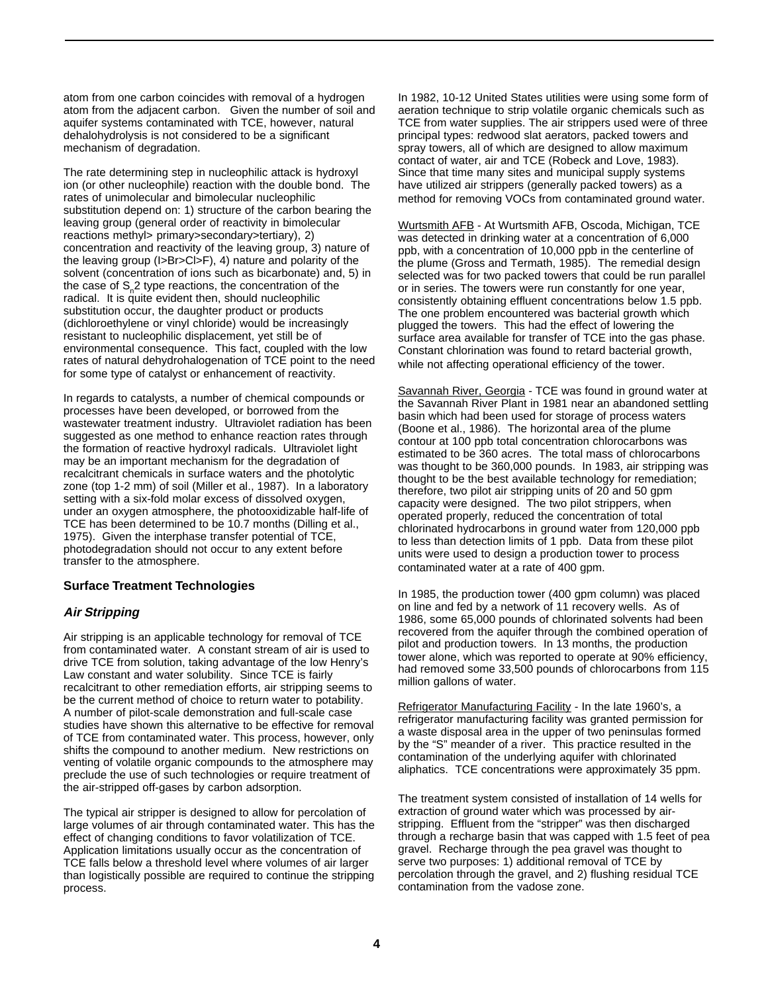atom from one carbon coincides with removal of a hydrogen atom from the adjacent carbon. Given the number of soil and aquifer systems contaminated with TCE, however, natural dehalohydrolysis is not considered to be a significant mechanism of degradation.

The rate determining step in nucleophilic attack is hydroxyl ion (or other nucleophile) reaction with the double bond. The rates of unimolecular and bimolecular nucleophilic substitution depend on: 1) structure of the carbon bearing the leaving group (general order of reactivity in bimolecular reactions methyl> primary>secondary>tertiary), 2) concentration and reactivity of the leaving group, 3) nature of the leaving group (I>Br>Cl>F), 4) nature and polarity of the solvent (concentration of ions such as bicarbonate) and, 5) in the case of  $S_{n}$ 2 type reactions, the concentration of the radical. It is quite evident then, should nucleophilic substitution occur, the daughter product or products (dichloroethylene or vinyl chloride) would be increasingly resistant to nucleophilic displacement, yet still be of environmental consequence. This fact, coupled with the low rates of natural dehydrohalogenation of TCE point to the need for some type of catalyst or enhancement of reactivity.

In regards to catalysts, a number of chemical compounds or processes have been developed, or borrowed from the wastewater treatment industry. Ultraviolet radiation has been suggested as one method to enhance reaction rates through the formation of reactive hydroxyl radicals. Ultraviolet light may be an important mechanism for the degradation of recalcitrant chemicals in surface waters and the photolytic zone (top 1-2 mm) of soil (Miller et al., 1987). In a laboratory setting with a six-fold molar excess of dissolved oxygen, under an oxygen atmosphere, the photooxidizable half-life of TCE has been determined to be 10.7 months (Dilling et al., 1975). Given the interphase transfer potential of TCE, photodegradation should not occur to any extent before transfer to the atmosphere.

## **Surface Treatment Technologies**

## **Air Stripping**

Air stripping is an applicable technology for removal of TCE from contaminated water. A constant stream of air is used to drive TCE from solution, taking advantage of the low Henry's Law constant and water solubility. Since TCE is fairly recalcitrant to other remediation efforts, air stripping seems to be the current method of choice to return water to potability. A number of pilot-scale demonstration and full-scale case studies have shown this alternative to be effective for removal of TCE from contaminated water. This process, however, only shifts the compound to another medium. New restrictions on venting of volatile organic compounds to the atmosphere may preclude the use of such technologies or require treatment of the air-stripped off-gases by carbon adsorption.

The typical air stripper is designed to allow for percolation of large volumes of air through contaminated water. This has the effect of changing conditions to favor volatilization of TCE. Application limitations usually occur as the concentration of TCE falls below a threshold level where volumes of air larger than logistically possible are required to continue the stripping process.

In 1982, 10-12 United States utilities were using some form of aeration technique to strip volatile organic chemicals such as TCE from water supplies. The air strippers used were of three principal types: redwood slat aerators, packed towers and spray towers, all of which are designed to allow maximum contact of water, air and TCE (Robeck and Love, 1983). Since that time many sites and municipal supply systems have utilized air strippers (generally packed towers) as a method for removing VOCs from contaminated ground water.

Wurtsmith AFB - At Wurtsmith AFB, Oscoda, Michigan, TCE was detected in drinking water at a concentration of 6,000 ppb, with a concentration of 10,000 ppb in the centerline of the plume (Gross and Termath, 1985). The remedial design selected was for two packed towers that could be run parallel or in series. The towers were run constantly for one year, consistently obtaining effluent concentrations below 1.5 ppb. The one problem encountered was bacterial growth which plugged the towers. This had the effect of lowering the surface area available for transfer of TCE into the gas phase. Constant chlorination was found to retard bacterial growth, while not affecting operational efficiency of the tower.

Savannah River, Georgia - TCE was found in ground water at the Savannah River Plant in 1981 near an abandoned settling basin which had been used for storage of process waters (Boone et al., 1986). The horizontal area of the plume contour at 100 ppb total concentration chlorocarbons was estimated to be 360 acres. The total mass of chlorocarbons was thought to be 360,000 pounds. In 1983, air stripping was thought to be the best available technology for remediation; therefore, two pilot air stripping units of 20 and 50 gpm capacity were designed. The two pilot strippers, when operated properly, reduced the concentration of total chlorinated hydrocarbons in ground water from 120,000 ppb to less than detection limits of 1 ppb. Data from these pilot units were used to design a production tower to process contaminated water at a rate of 400 gpm.

In 1985, the production tower (400 gpm column) was placed on line and fed by a network of 11 recovery wells. As of 1986, some 65,000 pounds of chlorinated solvents had been recovered from the aquifer through the combined operation of pilot and production towers. In 13 months, the production tower alone, which was reported to operate at 90% efficiency, had removed some 33,500 pounds of chlorocarbons from 115 million gallons of water.

Refrigerator Manufacturing Facility - In the late 1960's, a refrigerator manufacturing facility was granted permission for a waste disposal area in the upper of two peninsulas formed by the "S" meander of a river. This practice resulted in the contamination of the underlying aquifer with chlorinated aliphatics. TCE concentrations were approximately 35 ppm.

The treatment system consisted of installation of 14 wells for extraction of ground water which was processed by airstripping. Effluent from the "stripper" was then discharged through a recharge basin that was capped with 1.5 feet of pea gravel. Recharge through the pea gravel was thought to serve two purposes: 1) additional removal of TCE by percolation through the gravel, and 2) flushing residual TCE contamination from the vadose zone.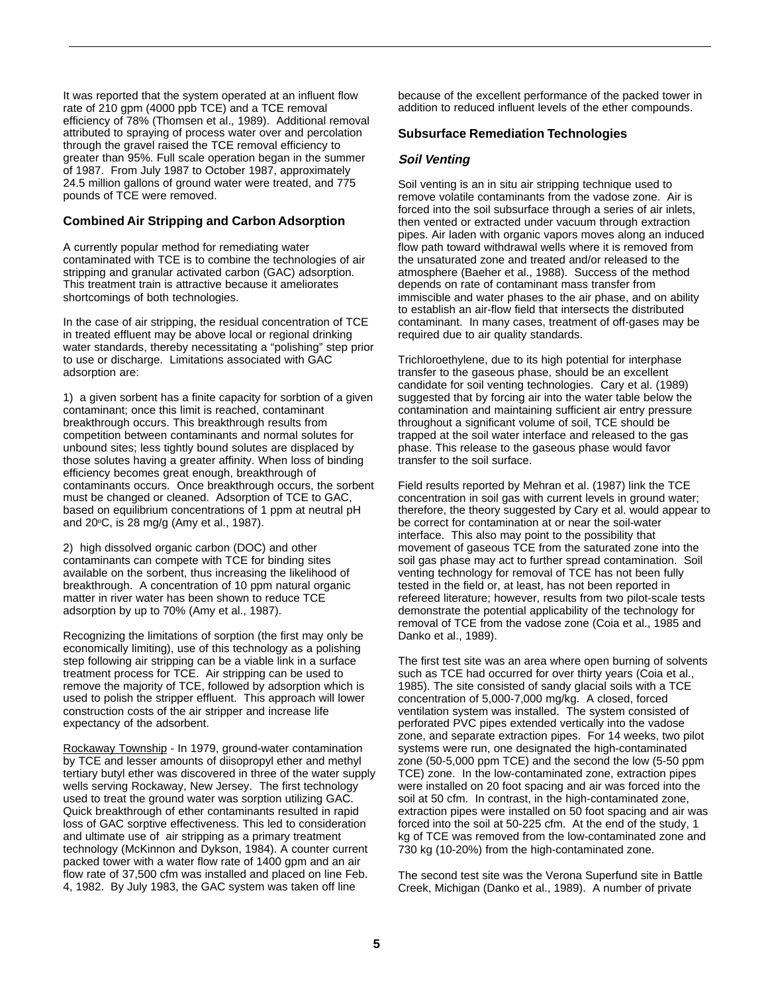It was reported that the system operated at an influent flow rate of 210 gpm (4000 ppb TCE) and a TCE removal efficiency of 78% (Thomsen et al., 1989). Additional removal attributed to spraying of process water over and percolation through the gravel raised the TCE removal efficiency to greater than 95%. Full scale operation began in the summer of 1987. From July 1987 to October 1987, approximately 24.5 million gallons of ground water were treated, and 775 pounds of TCE were removed.

## **Combined Air Stripping and Carbon Adsorption**

A currently popular method for remediating water contaminated with TCE is to combine the technologies of air stripping and granular activated carbon (GAC) adsorption. This treatment train is attractive because it ameliorates shortcomings of both technologies.

In the case of air stripping, the residual concentration of TCE in treated effluent may be above local or regional drinking water standards, thereby necessitating a "polishing" step prior to use or discharge. Limitations associated with GAC adsorption are:

1) a given sorbent has a finite capacity for sorbtion of a given contaminant; once this limit is reached, contaminant breakthrough occurs. This breakthrough results from competition between contaminants and normal solutes for unbound sites; less tightly bound solutes are displaced by those solutes having a greater affinity. When loss of binding efficiency becomes great enough, breakthrough of contaminants occurs. Once breakthrough occurs, the sorbent must be changed or cleaned. Adsorption of TCE to GAC, based on equilibrium concentrations of 1 ppm at neutral pH and 20°C, is 28 mg/g (Amy et al., 1987).

2) high dissolved organic carbon (DOC) and other contaminants can compete with TCE for binding sites available on the sorbent, thus increasing the likelihood of breakthrough. A concentration of 10 ppm natural organic matter in river water has been shown to reduce TCE adsorption by up to 70% (Amy et al., 1987).

Recognizing the limitations of sorption (the first may only be economically limiting), use of this technology as a polishing step following air stripping can be a viable link in a surface treatment process for TCE. Air stripping can be used to remove the majority of TCE, followed by adsorption which is used to polish the stripper effluent. This approach will lower construction costs of the air stripper and increase life expectancy of the adsorbent.

Rockaway Township - In 1979, ground-water contamination by TCE and lesser amounts of diisopropyl ether and methyl tertiary butyl ether was discovered in three of the water supply wells serving Rockaway, New Jersey. The first technology used to treat the ground water was sorption utilizing GAC. Quick breakthrough of ether contaminants resulted in rapid loss of GAC sorptive effectiveness. This led to consideration and ultimate use of air stripping as a primary treatment technology (McKinnon and Dykson, 1984). A counter current packed tower with a water flow rate of 1400 gpm and an air flow rate of 37,500 cfm was installed and placed on line Feb. 4, 1982. By July 1983, the GAC system was taken off line

because of the excellent performance of the packed tower in addition to reduced influent levels of the ether compounds.

## **Subsurface Remediation Technologies**

## **Soil Venting**

Soil venting is an in situ air stripping technique used to remove volatile contaminants from the vadose zone. Air is forced into the soil subsurface through a series of air inlets, then vented or extracted under vacuum through extraction pipes. Air laden with organic vapors moves along an induced flow path toward withdrawal wells where it is removed from the unsaturated zone and treated and/or released to the atmosphere (Baeher et al., 1988). Success of the method depends on rate of contaminant mass transfer from immiscible and water phases to the air phase, and on ability to establish an air-flow field that intersects the distributed contaminant. In many cases, treatment of off-gases may be required due to air quality standards.

Trichloroethylene, due to its high potential for interphase transfer to the gaseous phase, should be an excellent candidate for soil venting technologies. Cary et al. (1989) suggested that by forcing air into the water table below the contamination and maintaining sufficient air entry pressure throughout a significant volume of soil, TCE should be trapped at the soil water interface and released to the gas phase. This release to the gaseous phase would favor transfer to the soil surface.

Field results reported by Mehran et al. (1987) link the TCE concentration in soil gas with current levels in ground water; therefore, the theory suggested by Cary et al. would appear to be correct for contamination at or near the soil-water interface. This also may point to the possibility that movement of gaseous TCE from the saturated zone into the soil gas phase may act to further spread contamination. Soil venting technology for removal of TCE has not been fully tested in the field or, at least, has not been reported in refereed literature; however, results from two pilot-scale tests demonstrate the potential applicability of the technology for removal of TCE from the vadose zone (Coia et al., 1985 and Danko et al., 1989).

The first test site was an area where open burning of solvents such as TCE had occurred for over thirty years (Coia et al., 1985). The site consisted of sandy glacial soils with a TCE concentration of 5,000-7,000 mg/kg. A closed, forced ventilation system was installed. The system consisted of perforated PVC pipes extended vertically into the vadose zone, and separate extraction pipes. For 14 weeks, two pilot systems were run, one designated the high-contaminated zone (50-5,000 ppm TCE) and the second the low (5-50 ppm TCE) zone. In the low-contaminated zone, extraction pipes were installed on 20 foot spacing and air was forced into the soil at 50 cfm. In contrast, in the high-contaminated zone, extraction pipes were installed on 50 foot spacing and air was forced into the soil at 50-225 cfm. At the end of the study, 1 kg of TCE was removed from the low-contaminated zone and 730 kg (10-20%) from the high-contaminated zone.

The second test site was the Verona Superfund site in Battle Creek, Michigan (Danko et al., 1989). A number of private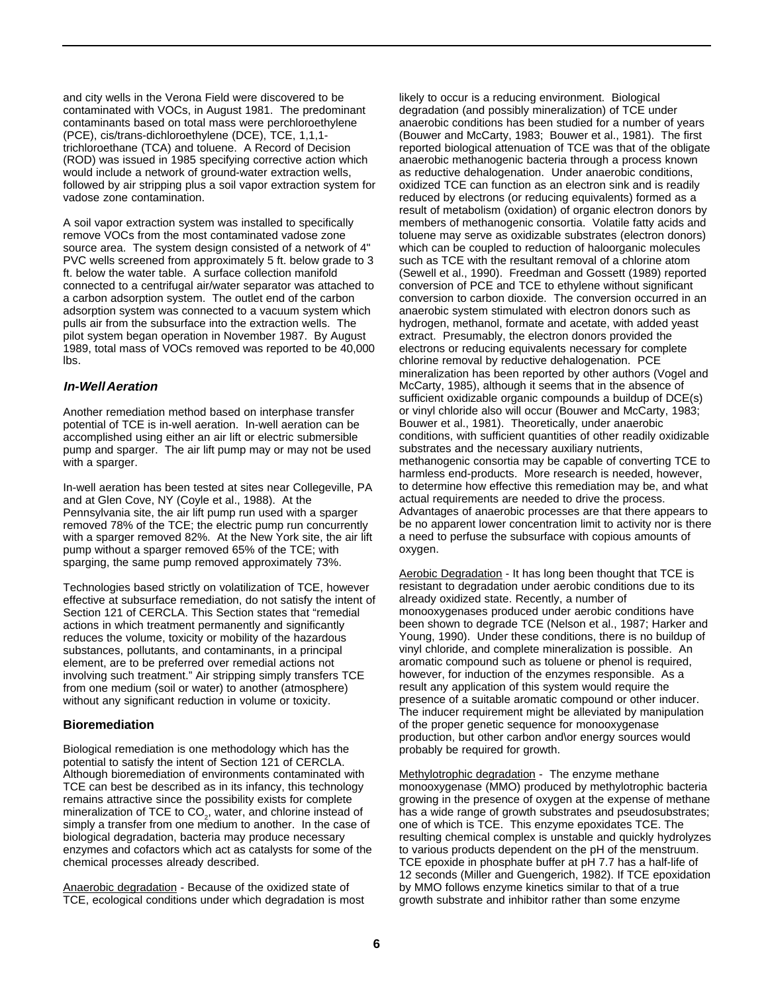and city wells in the Verona Field were discovered to be contaminated with VOCs, in August 1981. The predominant contaminants based on total mass were perchloroethylene (PCE), cis/trans-dichloroethylene (DCE), TCE, 1,1,1 trichloroethane (TCA) and toluene. A Record of Decision (ROD) was issued in 1985 specifying corrective action which would include a network of ground-water extraction wells, followed by air stripping plus a soil vapor extraction system for vadose zone contamination.

A soil vapor extraction system was installed to specifically remove VOCs from the most contaminated vadose zone source area. The system design consisted of a network of 4" PVC wells screened from approximately 5 ft. below grade to 3 ft. below the water table. A surface collection manifold connected to a centrifugal air/water separator was attached to a carbon adsorption system. The outlet end of the carbon adsorption system was connected to a vacuum system which pulls air from the subsurface into the extraction wells. The pilot system began operation in November 1987. By August 1989, total mass of VOCs removed was reported to be 40,000 lbs.

## **In-Well Aeration**

Another remediation method based on interphase transfer potential of TCE is in-well aeration. In-well aeration can be accomplished using either an air lift or electric submersible pump and sparger. The air lift pump may or may not be used with a sparger.

In-well aeration has been tested at sites near Collegeville, PA and at Glen Cove, NY (Coyle et al., 1988). At the Pennsylvania site, the air lift pump run used with a sparger removed 78% of the TCE; the electric pump run concurrently with a sparger removed 82%. At the New York site, the air lift pump without a sparger removed 65% of the TCE; with sparging, the same pump removed approximately 73%.

Technologies based strictly on volatilization of TCE, however effective at subsurface remediation, do not satisfy the intent of Section 121 of CERCLA. This Section states that "remedial actions in which treatment permanently and significantly reduces the volume, toxicity or mobility of the hazardous substances, pollutants, and contaminants, in a principal element, are to be preferred over remedial actions not involving such treatment." Air stripping simply transfers TCE from one medium (soil or water) to another (atmosphere) without any significant reduction in volume or toxicity.

## **Bioremediation**

Biological remediation is one methodology which has the potential to satisfy the intent of Section 121 of CERCLA. Although bioremediation of environments contaminated with TCE can best be described as in its infancy, this technology remains attractive since the possibility exists for complete mineralization of TCE to  $CO<sub>2</sub>$ , water, and chlorine instead of simply a transfer from one medium to another. In the case of biological degradation, bacteria may produce necessary enzymes and cofactors which act as catalysts for some of the chemical processes already described.

Anaerobic degradation - Because of the oxidized state of TCE, ecological conditions under which degradation is most likely to occur is a reducing environment. Biological degradation (and possibly mineralization) of TCE under anaerobic conditions has been studied for a number of years (Bouwer and McCarty, 1983; Bouwer et al., 1981). The first reported biological attenuation of TCE was that of the obligate anaerobic methanogenic bacteria through a process known as reductive dehalogenation. Under anaerobic conditions, oxidized TCE can function as an electron sink and is readily reduced by electrons (or reducing equivalents) formed as a result of metabolism (oxidation) of organic electron donors by members of methanogenic consortia. Volatile fatty acids and toluene may serve as oxidizable substrates (electron donors) which can be coupled to reduction of haloorganic molecules such as TCE with the resultant removal of a chlorine atom (Sewell et al., 1990). Freedman and Gossett (1989) reported conversion of PCE and TCE to ethylene without significant conversion to carbon dioxide. The conversion occurred in an anaerobic system stimulated with electron donors such as hydrogen, methanol, formate and acetate, with added yeast extract. Presumably, the electron donors provided the electrons or reducing equivalents necessary for complete chlorine removal by reductive dehalogenation. PCE mineralization has been reported by other authors (Vogel and McCarty, 1985), although it seems that in the absence of sufficient oxidizable organic compounds a buildup of DCE(s) or vinyl chloride also will occur (Bouwer and McCarty, 1983; Bouwer et al., 1981). Theoretically, under anaerobic conditions, with sufficient quantities of other readily oxidizable substrates and the necessary auxiliary nutrients, methanogenic consortia may be capable of converting TCE to harmless end-products. More research is needed, however, to determine how effective this remediation may be, and what actual requirements are needed to drive the process. Advantages of anaerobic processes are that there appears to be no apparent lower concentration limit to activity nor is there a need to perfuse the subsurface with copious amounts of oxygen.

Aerobic Degradation - It has long been thought that TCE is resistant to degradation under aerobic conditions due to its already oxidized state. Recently, a number of monooxygenases produced under aerobic conditions have been shown to degrade TCE (Nelson et al., 1987; Harker and Young, 1990). Under these conditions, there is no buildup of vinyl chloride, and complete mineralization is possible. An aromatic compound such as toluene or phenol is required, however, for induction of the enzymes responsible. As a result any application of this system would require the presence of a suitable aromatic compound or other inducer. The inducer requirement might be alleviated by manipulation of the proper genetic sequence for monooxygenase production, but other carbon and\or energy sources would probably be required for growth.

Methylotrophic degradation - The enzyme methane monooxygenase (MMO) produced by methylotrophic bacteria growing in the presence of oxygen at the expense of methane has a wide range of growth substrates and pseudosubstrates; one of which is TCE. This enzyme epoxidates TCE. The resulting chemical complex is unstable and quickly hydrolyzes to various products dependent on the pH of the menstruum. TCE epoxide in phosphate buffer at pH 7.7 has a half-life of 12 seconds (Miller and Guengerich, 1982). If TCE epoxidation by MMO follows enzyme kinetics similar to that of a true growth substrate and inhibitor rather than some enzyme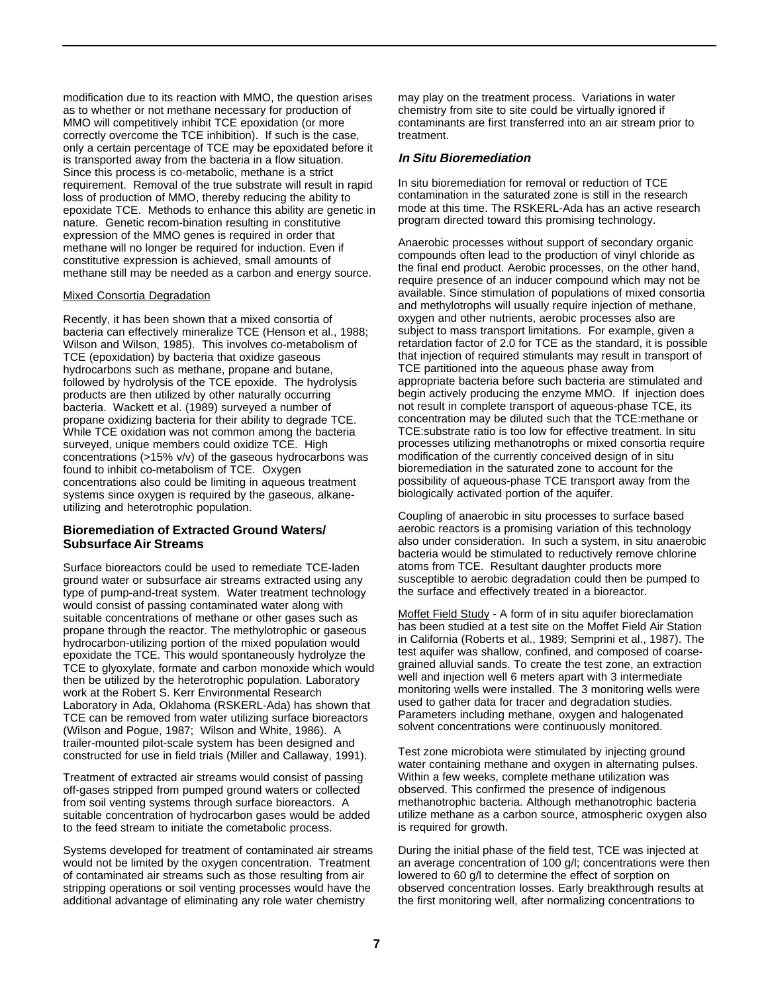modification due to its reaction with MMO, the question arises as to whether or not methane necessary for production of MMO will competitively inhibit TCE epoxidation (or more correctly overcome the TCE inhibition). If such is the case, only a certain percentage of TCE may be epoxidated before it is transported away from the bacteria in a flow situation. Since this process is co-metabolic, methane is a strict requirement. Removal of the true substrate will result in rapid loss of production of MMO, thereby reducing the ability to epoxidate TCE. Methods to enhance this ability are genetic in nature. Genetic recom-bination resulting in constitutive expression of the MMO genes is required in order that methane will no longer be required for induction. Even if constitutive expression is achieved, small amounts of methane still may be needed as a carbon and energy source.

#### Mixed Consortia Degradation

Recently, it has been shown that a mixed consortia of bacteria can effectively mineralize TCE (Henson et al., 1988; Wilson and Wilson, 1985). This involves co-metabolism of TCE (epoxidation) by bacteria that oxidize gaseous hydrocarbons such as methane, propane and butane, followed by hydrolysis of the TCE epoxide. The hydrolysis products are then utilized by other naturally occurring bacteria. Wackett et al. (1989) surveyed a number of propane oxidizing bacteria for their ability to degrade TCE. While TCE oxidation was not common among the bacteria surveyed, unique members could oxidize TCE. High concentrations (>15% v/v) of the gaseous hydrocarbons was found to inhibit co-metabolism of TCE. Oxygen concentrations also could be limiting in aqueous treatment systems since oxygen is required by the gaseous, alkaneutilizing and heterotrophic population.

## **Bioremediation of Extracted Ground Waters/ Subsurface Air Streams**

Surface bioreactors could be used to remediate TCE-laden ground water or subsurface air streams extracted using any type of pump-and-treat system. Water treatment technology would consist of passing contaminated water along with suitable concentrations of methane or other gases such as propane through the reactor. The methylotrophic or gaseous hydrocarbon-utilizing portion of the mixed population would epoxidate the TCE. This would spontaneously hydrolyze the TCE to glyoxylate, formate and carbon monoxide which would then be utilized by the heterotrophic population. Laboratory work at the Robert S. Kerr Environmental Research Laboratory in Ada, Oklahoma (RSKERL-Ada) has shown that TCE can be removed from water utilizing surface bioreactors (Wilson and Pogue, 1987; Wilson and White, 1986). A trailer-mounted pilot-scale system has been designed and constructed for use in field trials (Miller and Callaway, 1991).

Treatment of extracted air streams would consist of passing off-gases stripped from pumped ground waters or collected from soil venting systems through surface bioreactors. A suitable concentration of hydrocarbon gases would be added to the feed stream to initiate the cometabolic process.

Systems developed for treatment of contaminated air streams would not be limited by the oxygen concentration. Treatment of contaminated air streams such as those resulting from air stripping operations or soil venting processes would have the additional advantage of eliminating any role water chemistry

may play on the treatment process. Variations in water chemistry from site to site could be virtually ignored if contaminants are first transferred into an air stream prior to treatment.

#### **In Situ Bioremediation**

In situ bioremediation for removal or reduction of TCE contamination in the saturated zone is still in the research mode at this time. The RSKERL-Ada has an active research program directed toward this promising technology.

Anaerobic processes without support of secondary organic compounds often lead to the production of vinyl chloride as the final end product. Aerobic processes, on the other hand, require presence of an inducer compound which may not be available. Since stimulation of populations of mixed consortia and methylotrophs will usually require injection of methane, oxygen and other nutrients, aerobic processes also are subject to mass transport limitations. For example, given a retardation factor of 2.0 for TCE as the standard, it is possible that injection of required stimulants may result in transport of TCE partitioned into the aqueous phase away from appropriate bacteria before such bacteria are stimulated and begin actively producing the enzyme MMO. If injection does not result in complete transport of aqueous-phase TCE, its concentration may be diluted such that the TCE:methane or TCE:substrate ratio is too low for effective treatment. In situ processes utilizing methanotrophs or mixed consortia require modification of the currently conceived design of in situ bioremediation in the saturated zone to account for the possibility of aqueous-phase TCE transport away from the biologically activated portion of the aquifer.

Coupling of anaerobic in situ processes to surface based aerobic reactors is a promising variation of this technology also under consideration. In such a system, in situ anaerobic bacteria would be stimulated to reductively remove chlorine atoms from TCE. Resultant daughter products more susceptible to aerobic degradation could then be pumped to the surface and effectively treated in a bioreactor.

Moffet Field Study - A form of in situ aquifer bioreclamation has been studied at a test site on the Moffet Field Air Station in California (Roberts et al., 1989; Semprini et al., 1987). The test aquifer was shallow, confined, and composed of coarsegrained alluvial sands. To create the test zone, an extraction well and injection well 6 meters apart with 3 intermediate monitoring wells were installed. The 3 monitoring wells were used to gather data for tracer and degradation studies. Parameters including methane, oxygen and halogenated solvent concentrations were continuously monitored.

Test zone microbiota were stimulated by injecting ground water containing methane and oxygen in alternating pulses. Within a few weeks, complete methane utilization was observed. This confirmed the presence of indigenous methanotrophic bacteria. Although methanotrophic bacteria utilize methane as a carbon source, atmospheric oxygen also is required for growth.

During the initial phase of the field test, TCE was injected at an average concentration of 100 g/l; concentrations were then lowered to 60 g/l to determine the effect of sorption on observed concentration losses. Early breakthrough results at the first monitoring well, after normalizing concentrations to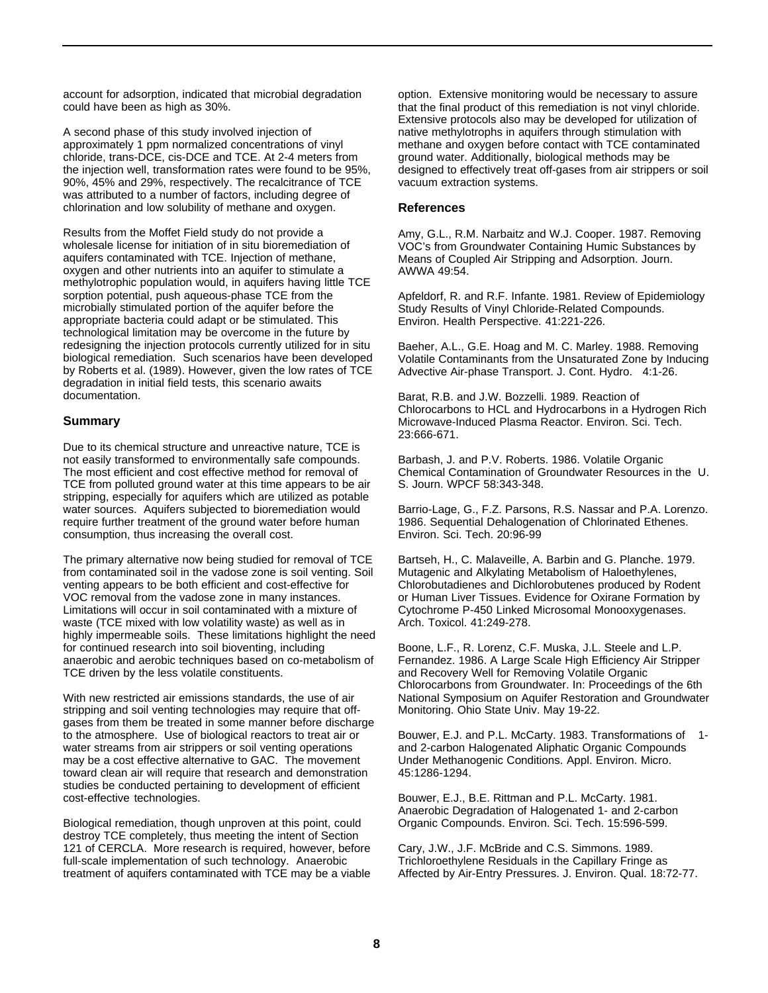account for adsorption, indicated that microbial degradation could have been as high as 30%.

A second phase of this study involved injection of approximately 1 ppm normalized concentrations of vinyl chloride, trans-DCE, cis-DCE and TCE. At 2-4 meters from the injection well, transformation rates were found to be 95%, 90%, 45% and 29%, respectively. The recalcitrance of TCE was attributed to a number of factors, including degree of chlorination and low solubility of methane and oxygen.

Results from the Moffet Field study do not provide a wholesale license for initiation of in situ bioremediation of aquifers contaminated with TCE. Injection of methane, oxygen and other nutrients into an aquifer to stimulate a methylotrophic population would, in aquifers having little TCE sorption potential, push aqueous-phase TCE from the microbially stimulated portion of the aquifer before the appropriate bacteria could adapt or be stimulated. This technological limitation may be overcome in the future by redesigning the injection protocols currently utilized for in situ biological remediation. Such scenarios have been developed by Roberts et al. (1989). However, given the low rates of TCE degradation in initial field tests, this scenario awaits documentation.

## **Summary**

Due to its chemical structure and unreactive nature, TCE is not easily transformed to environmentally safe compounds. The most efficient and cost effective method for removal of TCE from polluted ground water at this time appears to be air stripping, especially for aquifers which are utilized as potable water sources. Aquifers subjected to bioremediation would require further treatment of the ground water before human consumption, thus increasing the overall cost.

The primary alternative now being studied for removal of TCE from contaminated soil in the vadose zone is soil venting. Soil venting appears to be both efficient and cost-effective for VOC removal from the vadose zone in many instances. Limitations will occur in soil contaminated with a mixture of waste (TCE mixed with low volatility waste) as well as in highly impermeable soils. These limitations highlight the need for continued research into soil bioventing, including anaerobic and aerobic techniques based on co-metabolism of TCE driven by the less volatile constituents.

With new restricted air emissions standards, the use of air stripping and soil venting technologies may require that offgases from them be treated in some manner before discharge to the atmosphere. Use of biological reactors to treat air or water streams from air strippers or soil venting operations may be a cost effective alternative to GAC. The movement toward clean air will require that research and demonstration studies be conducted pertaining to development of efficient cost-effective technologies.

Biological remediation, though unproven at this point, could destroy TCE completely, thus meeting the intent of Section 121 of CERCLA. More research is required, however, before full-scale implementation of such technology. Anaerobic treatment of aquifers contaminated with TCE may be a viable

option. Extensive monitoring would be necessary to assure that the final product of this remediation is not vinyl chloride. Extensive protocols also may be developed for utilization of native methylotrophs in aquifers through stimulation with methane and oxygen before contact with TCE contaminated ground water. Additionally, biological methods may be designed to effectively treat off-gases from air strippers or soil vacuum extraction systems.

#### **References**

Amy, G.L., R.M. Narbaitz and W.J. Cooper. 1987. Removing VOC's from Groundwater Containing Humic Substances by Means of Coupled Air Stripping and Adsorption. Journ. AWWA 49:54.

Apfeldorf, R. and R.F. Infante. 1981. Review of Epidemiology Study Results of Vinyl Chloride-Related Compounds. Environ. Health Perspective. 41:221-226.

Baeher, A.L., G.E. Hoag and M. C. Marley. 1988. Removing Volatile Contaminants from the Unsaturated Zone by Inducing Advective Air-phase Transport. J. Cont. Hydro. 4:1-26.

Barat, R.B. and J.W. Bozzelli. 1989. Reaction of Chlorocarbons to HCL and Hydrocarbons in a Hydrogen Rich Microwave-Induced Plasma Reactor. Environ. Sci. Tech. 23:666-671.

Barbash, J. and P.V. Roberts. 1986. Volatile Organic Chemical Contamination of Groundwater Resources in the U. S. Journ. WPCF 58:343-348.

Barrio-Lage, G., F.Z. Parsons, R.S. Nassar and P.A. Lorenzo. 1986. Sequential Dehalogenation of Chlorinated Ethenes. Environ. Sci. Tech. 20:96-99

Bartseh, H., C. Malaveille, A. Barbin and G. Planche. 1979. Mutagenic and Alkylating Metabolism of Haloethylenes, Chlorobutadienes and Dichlorobutenes produced by Rodent or Human Liver Tissues. Evidence for Oxirane Formation by Cytochrome P-450 Linked Microsomal Monooxygenases. Arch. Toxicol. 41:249-278.

Boone, L.F., R. Lorenz, C.F. Muska, J.L. Steele and L.P. Fernandez. 1986. A Large Scale High Efficiency Air Stripper and Recovery Well for Removing Volatile Organic Chlorocarbons from Groundwater. In: Proceedings of the 6th National Symposium on Aquifer Restoration and Groundwater Monitoring. Ohio State Univ. May 19-22.

Bouwer, E.J. and P.L. McCarty. 1983. Transformations of 1 and 2-carbon Halogenated Aliphatic Organic Compounds Under Methanogenic Conditions. Appl. Environ. Micro. 45:1286-1294.

Bouwer, E.J., B.E. Rittman and P.L. McCarty. 1981. Anaerobic Degradation of Halogenated 1- and 2-carbon Organic Compounds. Environ. Sci. Tech. 15:596-599.

Cary, J.W., J.F. McBride and C.S. Simmons. 1989. Trichloroethylene Residuals in the Capillary Fringe as Affected by Air-Entry Pressures. J. Environ. Qual. 18:72-77.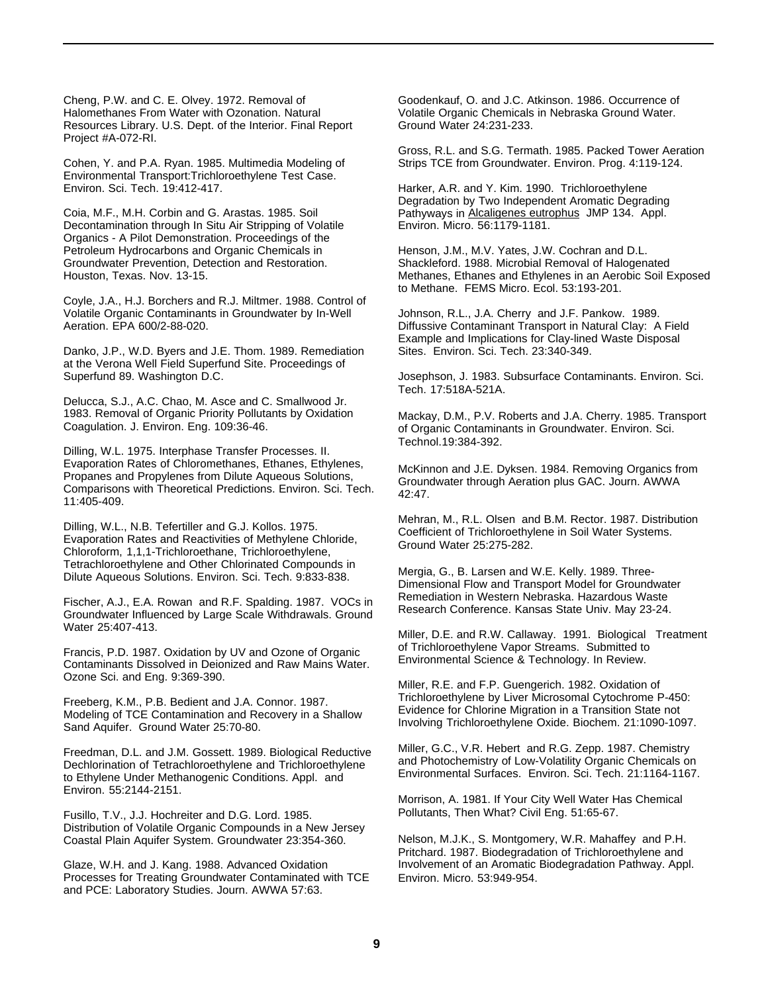Cheng, P.W. and C. E. Olvey. 1972. Removal of Halomethanes From Water with Ozonation. Natural Resources Library. U.S. Dept. of the Interior. Final Report Project #A-072-RI.

Cohen, Y. and P.A. Ryan. 1985. Multimedia Modeling of Environmental Transport:Trichloroethylene Test Case. Environ. Sci. Tech. 19:412-417.

Coia, M.F., M.H. Corbin and G. Arastas. 1985. Soil Decontamination through In Situ Air Stripping of Volatile Organics - A Pilot Demonstration. Proceedings of the Petroleum Hydrocarbons and Organic Chemicals in Groundwater Prevention, Detection and Restoration. Houston, Texas. Nov. 13-15.

Coyle, J.A., H.J. Borchers and R.J. Miltmer. 1988. Control of Volatile Organic Contaminants in Groundwater by In-Well Aeration. EPA 600/2-88-020.

Danko, J.P., W.D. Byers and J.E. Thom. 1989. Remediation at the Verona Well Field Superfund Site. Proceedings of Superfund 89. Washington D.C.

Delucca, S.J., A.C. Chao, M. Asce and C. Smallwood Jr. 1983. Removal of Organic Priority Pollutants by Oxidation Coagulation. J. Environ. Eng. 109:36-46.

Dilling, W.L. 1975. Interphase Transfer Processes. II. Evaporation Rates of Chloromethanes, Ethanes, Ethylenes, Propanes and Propylenes from Dilute Aqueous Solutions, Comparisons with Theoretical Predictions. Environ. Sci. Tech. 11:405-409.

Dilling, W.L., N.B. Tefertiller and G.J. Kollos. 1975. Evaporation Rates and Reactivities of Methylene Chloride, Chloroform, 1,1,1-Trichloroethane, Trichloroethylene, Tetrachloroethylene and Other Chlorinated Compounds in Dilute Aqueous Solutions. Environ. Sci. Tech. 9:833-838.

Fischer, A.J., E.A. Rowan and R.F. Spalding. 1987. VOCs in Groundwater Influenced by Large Scale Withdrawals. Ground Water 25:407-413.

Francis, P.D. 1987. Oxidation by UV and Ozone of Organic Contaminants Dissolved in Deionized and Raw Mains Water. Ozone Sci. and Eng. 9:369-390.

Freeberg, K.M., P.B. Bedient and J.A. Connor. 1987. Modeling of TCE Contamination and Recovery in a Shallow Sand Aquifer. Ground Water 25:70-80.

Freedman, D.L. and J.M. Gossett. 1989. Biological Reductive Dechlorination of Tetrachloroethylene and Trichloroethylene to Ethylene Under Methanogenic Conditions. Appl. and Environ. 55:2144-2151.

Fusillo, T.V., J.J. Hochreiter and D.G. Lord. 1985. Distribution of Volatile Organic Compounds in a New Jersey Coastal Plain Aquifer System. Groundwater 23:354-360.

Glaze, W.H. and J. Kang. 1988. Advanced Oxidation Processes for Treating Groundwater Contaminated with TCE and PCE: Laboratory Studies. Journ. AWWA 57:63.

Goodenkauf, O. and J.C. Atkinson. 1986. Occurrence of Volatile Organic Chemicals in Nebraska Ground Water. Ground Water 24:231-233.

Gross, R.L. and S.G. Termath. 1985. Packed Tower Aeration Strips TCE from Groundwater. Environ. Prog. 4:119-124.

Harker, A.R. and Y. Kim. 1990. Trichloroethylene Degradation by Two Independent Aromatic Degrading Pathyways in Alcaligenes eutrophus JMP 134. Appl. Environ. Micro. 56:1179-1181.

Henson, J.M., M.V. Yates, J.W. Cochran and D.L. Shackleford. 1988. Microbial Removal of Halogenated Methanes, Ethanes and Ethylenes in an Aerobic Soil Exposed to Methane. FEMS Micro. Ecol. 53:193-201.

Johnson, R.L., J.A. Cherry and J.F. Pankow. 1989. Diffussive Contaminant Transport in Natural Clay: A Field Example and Implications for Clay-lined Waste Disposal Sites. Environ. Sci. Tech. 23:340-349.

Josephson, J. 1983. Subsurface Contaminants. Environ. Sci. Tech. 17:518A-521A.

Mackay, D.M., P.V. Roberts and J.A. Cherry. 1985. Transport of Organic Contaminants in Groundwater. Environ. Sci. Technol.19:384-392.

McKinnon and J.E. Dyksen. 1984. Removing Organics from Groundwater through Aeration plus GAC. Journ. AWWA 42:47.

Mehran, M., R.L. Olsen and B.M. Rector. 1987. Distribution Coefficient of Trichloroethylene in Soil Water Systems. Ground Water 25:275-282.

Mergia, G., B. Larsen and W.E. Kelly. 1989. Three-Dimensional Flow and Transport Model for Groundwater Remediation in Western Nebraska. Hazardous Waste Research Conference. Kansas State Univ. May 23-24.

Miller, D.E. and R.W. Callaway. 1991. Biological Treatment of Trichloroethylene Vapor Streams. Submitted to Environmental Science & Technology. In Review.

Miller, R.E. and F.P. Guengerich. 1982. Oxidation of Trichloroethylene by Liver Microsomal Cytochrome P-450: Evidence for Chlorine Migration in a Transition State not Involving Trichloroethylene Oxide. Biochem. 21:1090-1097.

Miller, G.C., V.R. Hebert and R.G. Zepp. 1987. Chemistry and Photochemistry of Low-Volatility Organic Chemicals on Environmental Surfaces. Environ. Sci. Tech. 21:1164-1167.

Morrison, A. 1981. If Your City Well Water Has Chemical Pollutants, Then What? Civil Eng. 51:65-67.

Nelson, M.J.K., S. Montgomery, W.R. Mahaffey and P.H. Pritchard. 1987. Biodegradation of Trichloroethylene and Involvement of an Aromatic Biodegradation Pathway. Appl. Environ. Micro. 53:949-954.